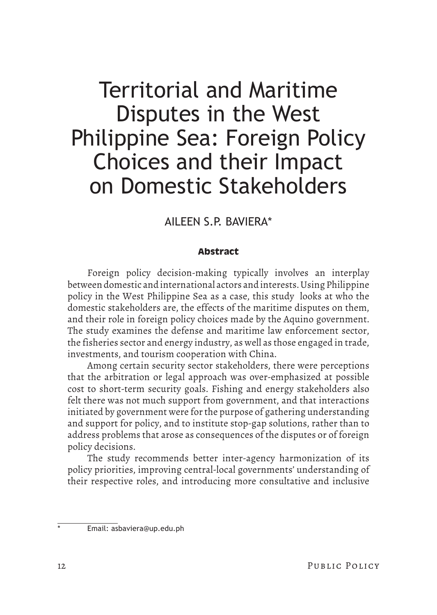# AILEEN S.P. BAVIERA\*

# **Abstract**

Foreign policy decision-making typically involves an interplay between domestic and international actors and interests. Using Philippine policy in the West Philippine Sea as a case, this study looks at who the domestic stakeholders are, the effects of the maritime disputes on them, and their role in foreign policy choices made by the Aquino government. The study examines the defense and maritime law enforcement sector, the fisheries sector and energy industry, as well as those engaged in trade, investments, and tourism cooperation with China.

Among certain security sector stakeholders, there were perceptions that the arbitration or legal approach was over-emphasized at possible cost to short-term security goals. Fishing and energy stakeholders also felt there was not much support from government, and that interactions initiated by government were for the purpose of gathering understanding and support for policy, and to institute stop-gap solutions, rather than to address problems that arose as consequences of the disputes or of foreign policy decisions.

The study recommends better inter-agency harmonization of its policy priorities, improving central-local governments' understanding of their respective roles, and introducing more consultative and inclusive

Email: asbaviera@up.edu.ph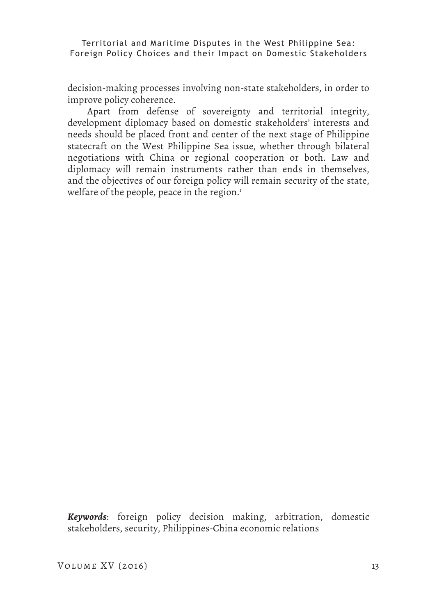decision-making processes involving non-state stakeholders, in order to improve policy coherence.

Apart from defense of sovereignty and territorial integrity, development diplomacy based on domestic stakeholders' interests and needs should be placed front and center of the next stage of Philippine statecraft on the West Philippine Sea issue, whether through bilateral negotiations with China or regional cooperation or both. Law and diplomacy will remain instruments rather than ends in themselves, and the objectives of our foreign policy will remain security of the state, welfare of the people, peace in the region. $^1$ 

*Keywords*: foreign policy decision making, arbitration, domestic stakeholders, security, Philippines-China economic relations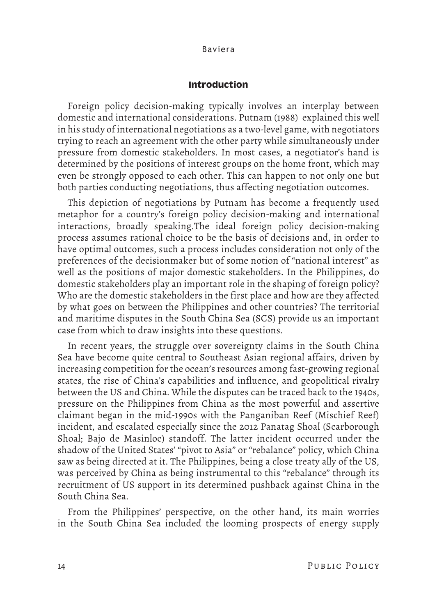### **Introduction**

Foreign policy decision-making typically involves an interplay between domestic and international considerations. Putnam (1988) explained this well in his study of international negotiations as a two-level game, with negotiators trying to reach an agreement with the other party while simultaneously under pressure from domestic stakeholders. In most cases, a negotiator's hand is determined by the positions of interest groups on the home front, which may even be strongly opposed to each other. This can happen to not only one but both parties conducting negotiations, thus affecting negotiation outcomes.

This depiction of negotiations by Putnam has become a frequently used metaphor for a country's foreign policy decision-making and international interactions, broadly speaking.The ideal foreign policy decision-making process assumes rational choice to be the basis of decisions and, in order to have optimal outcomes, such a process includes consideration not only of the preferences of the decisionmaker but of some notion of "national interest" as well as the positions of major domestic stakeholders. In the Philippines, do domestic stakeholders play an important role in the shaping of foreign policy? Who are the domestic stakeholders in the first place and how are they affected by what goes on between the Philippines and other countries? The territorial and maritime disputes in the South China Sea (SCS) provide us an important case from which to draw insights into these questions.

In recent years, the struggle over sovereignty claims in the South China Sea have become quite central to Southeast Asian regional affairs, driven by increasing competition for the ocean's resources among fast-growing regional states, the rise of China's capabilities and influence, and geopolitical rivalry between the US and China. While the disputes can be traced back to the 1940s, pressure on the Philippines from China as the most powerful and assertive claimant began in the mid-1990s with the Panganiban Reef (Mischief Reef) incident, and escalated especially since the 2012 Panatag Shoal (Scarborough Shoal; Bajo de Masinloc) standoff. The latter incident occurred under the shadow of the United States' "pivot to Asia" or "rebalance" policy, which China saw as being directed at it. The Philippines, being a close treaty ally of the US, was perceived by China as being instrumental to this "rebalance" through its recruitment of US support in its determined pushback against China in the South China Sea.

From the Philippines' perspective, on the other hand, its main worries in the South China Sea included the looming prospects of energy supply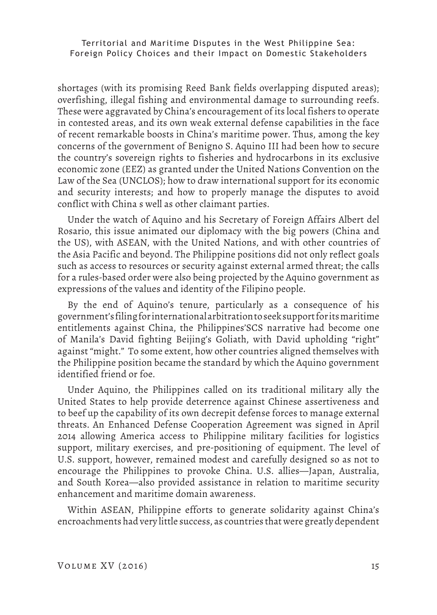shortages (with its promising Reed Bank fields overlapping disputed areas); overfishing, illegal fishing and environmental damage to surrounding reefs. These were aggravated by China's encouragement of its local fishers to operate in contested areas, and its own weak external defense capabilities in the face of recent remarkable boosts in China's maritime power. Thus, among the key concerns of the government of Benigno S. Aquino III had been how to secure the country's sovereign rights to fisheries and hydrocarbons in its exclusive economic zone (EEZ) as granted under the United Nations Convention on the Law of the Sea (UNCLOS); how to draw international support for its economic and security interests; and how to properly manage the disputes to avoid conflict with China s well as other claimant parties.

Under the watch of Aquino and his Secretary of Foreign Affairs Albert del Rosario, this issue animated our diplomacy with the big powers (China and the US), with ASEAN, with the United Nations, and with other countries of the Asia Pacific and beyond. The Philippine positions did not only reflect goals such as access to resources or security against external armed threat; the calls for a rules-based order were also being projected by the Aquino government as expressions of the values and identity of the Filipino people.

By the end of Aquino's tenure, particularly as a consequence of his government's filing for international arbitration to seek support for its maritime entitlements against China, the Philippines'SCS narrative had become one of Manila's David fighting Beijing's Goliath, with David upholding "right" against "might." To some extent, how other countries aligned themselves with the Philippine position became the standard by which the Aquino government identified friend or foe.

Under Aquino, the Philippines called on its traditional military ally the United States to help provide deterrence against Chinese assertiveness and to beef up the capability of its own decrepit defense forces to manage external threats. An Enhanced Defense Cooperation Agreement was signed in April 2014 allowing America access to Philippine military facilities for logistics support, military exercises, and pre-positioning of equipment. The level of U.S. support, however, remained modest and carefully designed so as not to encourage the Philippines to provoke China. U.S. allies—Japan, Australia, and South Korea—also provided assistance in relation to maritime security enhancement and maritime domain awareness.

Within ASEAN, Philippine efforts to generate solidarity against China's encroachments had very little success, as countries that were greatly dependent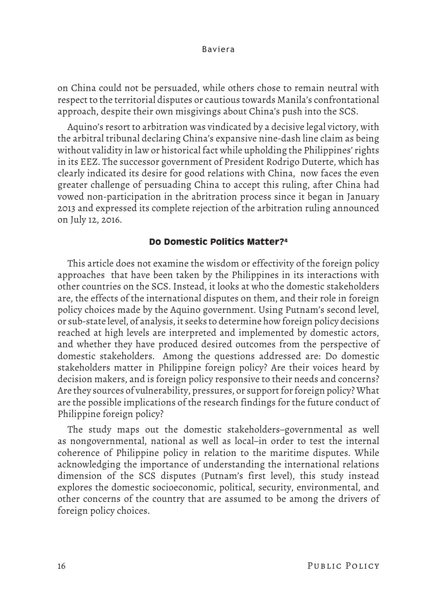on China could not be persuaded, while others chose to remain neutral with respect to the territorial disputes or cautious towards Manila's confrontational approach, despite their own misgivings about China's push into the SCS.

Aquino's resort to arbitration was vindicated by a decisive legal victory, with the arbitral tribunal declaring China's expansive nine-dash line claim as being without validity in law or historical fact while upholding the Philippines' rights in its EEZ. The successor government of President Rodrigo Duterte, which has clearly indicated its desire for good relations with China, now faces the even greater challenge of persuading China to accept this ruling, after China had vowed non-participation in the abritration process since it began in January 2013 and expressed its complete rejection of the arbitration ruling announced on July 12, 2016.

# **Do Domestic Politics Matter?4**

This article does not examine the wisdom or effectivity of the foreign policy approaches that have been taken by the Philippines in its interactions with other countries on the SCS. Instead, it looks at who the domestic stakeholders are, the effects of the international disputes on them, and their role in foreign policy choices made by the Aquino government. Using Putnam's second level, or sub-state level, of analysis, it seeks to determine how foreign policy decisions reached at high levels are interpreted and implemented by domestic actors, and whether they have produced desired outcomes from the perspective of domestic stakeholders. Among the questions addressed are: Do domestic stakeholders matter in Philippine foreign policy? Are their voices heard by decision makers, and is foreign policy responsive to their needs and concerns? Are they sources of vulnerability, pressures, or support for foreign policy? What are the possible implications of the research findings for the future conduct of Philippine foreign policy?

The study maps out the domestic stakeholders–governmental as well as nongovernmental, national as well as local–in order to test the internal coherence of Philippine policy in relation to the maritime disputes. While acknowledging the importance of understanding the international relations dimension of the SCS disputes (Putnam's first level), this study instead explores the domestic socioeconomic, political, security, environmental, and other concerns of the country that are assumed to be among the drivers of foreign policy choices.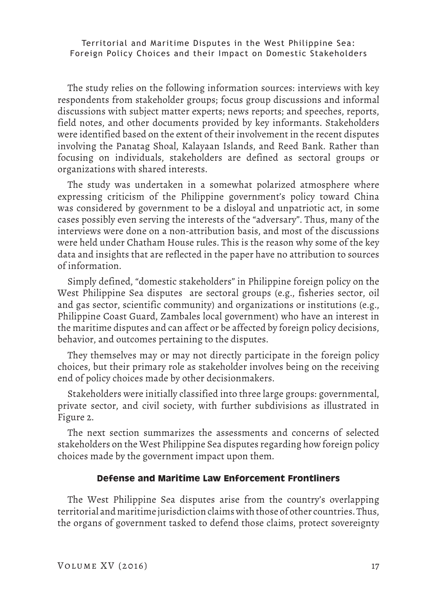The study relies on the following information sources: interviews with key respondents from stakeholder groups; focus group discussions and informal discussions with subject matter experts; news reports; and speeches, reports, field notes, and other documents provided by key informants. Stakeholders were identified based on the extent of their involvement in the recent disputes involving the Panatag Shoal, Kalayaan Islands, and Reed Bank. Rather than focusing on individuals, stakeholders are defined as sectoral groups or organizations with shared interests.

The study was undertaken in a somewhat polarized atmosphere where expressing criticism of the Philippine government's policy toward China was considered by government to be a disloyal and unpatriotic act, in some cases possibly even serving the interests of the "adversary". Thus, many of the interviews were done on a non-attribution basis, and most of the discussions were held under Chatham House rules. This is the reason why some of the key data and insights that are reflected in the paper have no attribution to sources of information.

Simply defined, "domestic stakeholders" in Philippine foreign policy on the West Philippine Sea disputes are sectoral groups (e.g., fisheries sector, oil and gas sector, scientific community) and organizations or institutions (e.g., Philippine Coast Guard, Zambales local government) who have an interest in the maritime disputes and can affect or be affected by foreign policy decisions, behavior, and outcomes pertaining to the disputes.

They themselves may or may not directly participate in the foreign policy choices, but their primary role as stakeholder involves being on the receiving end of policy choices made by other decisionmakers.

Stakeholders were initially classified into three large groups: governmental, private sector, and civil society, with further subdivisions as illustrated in Figure 2.

The next section summarizes the assessments and concerns of selected stakeholders on the West Philippine Sea disputes regarding how foreign policy choices made by the government impact upon them.

# **Defense and Maritime Law Enforcement Frontliners**

The West Philippine Sea disputes arise from the country's overlapping territorial and maritime jurisdiction claims with those of other countries. Thus, the organs of government tasked to defend those claims, protect sovereignty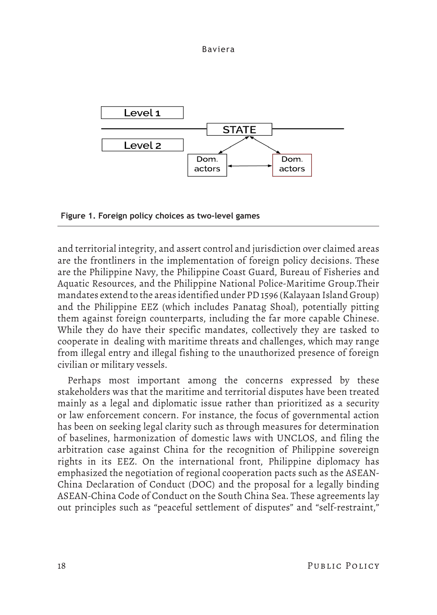

**Figure 1. Foreign policy choices as two-level games**

and territorial integrity, and assert control and jurisdiction over claimed areas are the frontliners in the implementation of foreign policy decisions. These are the Philippine Navy, the Philippine Coast Guard, Bureau of Fisheries and Aquatic Resources, and the Philippine National Police-Maritime Group.Their mandates extend to the areas identified under PD 1596 (Kalayaan Island Group) and the Philippine EEZ (which includes Panatag Shoal), potentially pitting them against foreign counterparts, including the far more capable Chinese. While they do have their specific mandates, collectively they are tasked to cooperate in dealing with maritime threats and challenges, which may range from illegal entry and illegal fishing to the unauthorized presence of foreign civilian or military vessels.

Perhaps most important among the concerns expressed by these stakeholders was that the maritime and territorial disputes have been treated mainly as a legal and diplomatic issue rather than prioritized as a security or law enforcement concern. For instance, the focus of governmental action has been on seeking legal clarity such as through measures for determination of baselines, harmonization of domestic laws with UNCLOS, and filing the arbitration case against China for the recognition of Philippine sovereign rights in its EEZ. On the international front, Philippine diplomacy has emphasized the negotiation of regional cooperation pacts such as the ASEAN-China Declaration of Conduct (DOC) and the proposal for a legally binding ASEAN-China Code of Conduct on the South China Sea. These agreements lay out principles such as "peaceful settlement of disputes" and "self-restraint,"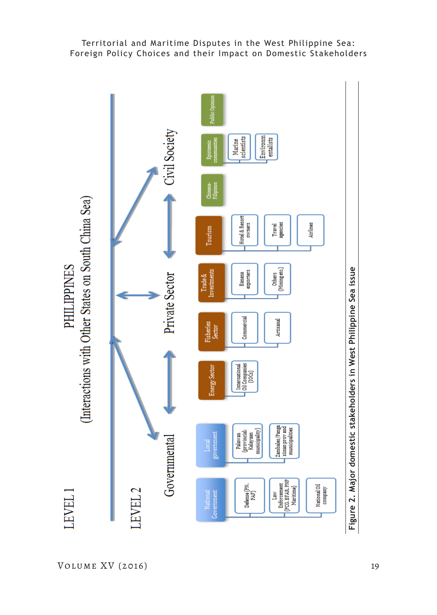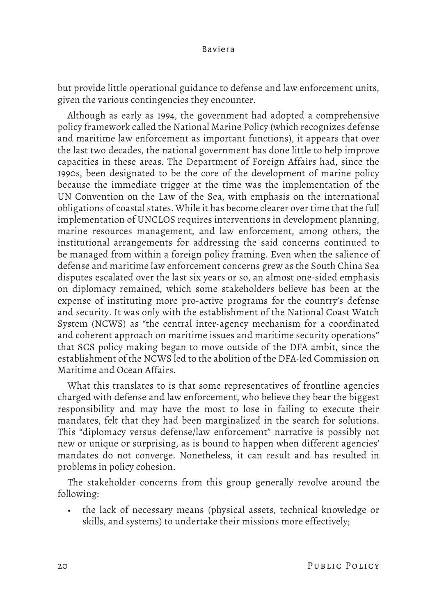but provide little operational guidance to defense and law enforcement units, given the various contingencies they encounter.

Although as early as 1994, the government had adopted a comprehensive policy framework called the National Marine Policy (which recognizes defense and maritime law enforcement as important functions), it appears that over the last two decades, the national government has done little to help improve capacities in these areas. The Department of Foreign Affairs had, since the 1990s, been designated to be the core of the development of marine policy because the immediate trigger at the time was the implementation of the UN Convention on the Law of the Sea, with emphasis on the international obligations of coastal states. While it has become clearer over time that the full implementation of UNCLOS requires interventions in development planning, marine resources management, and law enforcement, among others, the institutional arrangements for addressing the said concerns continued to be managed from within a foreign policy framing. Even when the salience of defense and maritime law enforcement concerns grew as the South China Sea disputes escalated over the last six years or so, an almost one-sided emphasis on diplomacy remained, which some stakeholders believe has been at the expense of instituting more pro-active programs for the country's defense and security. It was only with the establishment of the National Coast Watch System (NCWS) as "the central inter-agency mechanism for a coordinated and coherent approach on maritime issues and maritime security operations" that SCS policy making began to move outside of the DFA ambit, since the establishment of the NCWS led to the abolition of the DFA-led Commission on Maritime and Ocean Affairs.

What this translates to is that some representatives of frontline agencies charged with defense and law enforcement, who believe they bear the biggest responsibility and may have the most to lose in failing to execute their mandates, felt that they had been marginalized in the search for solutions. This "diplomacy versus defense/law enforcement" narrative is possibly not new or unique or surprising, as is bound to happen when different agencies' mandates do not converge. Nonetheless, it can result and has resulted in problems in policy cohesion.

The stakeholder concerns from this group generally revolve around the following:

• the lack of necessary means (physical assets, technical knowledge or skills, and systems) to undertake their missions more effectively;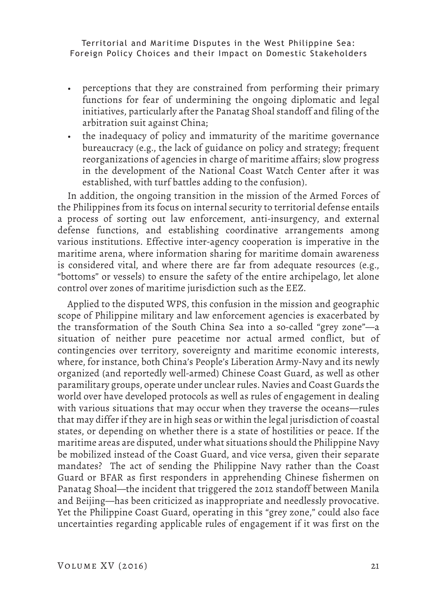- perceptions that they are constrained from performing their primary functions for fear of undermining the ongoing diplomatic and legal initiatives, particularly after the Panatag Shoal standoff and filing of the arbitration suit against China;
- the inadequacy of policy and immaturity of the maritime governance bureaucracy (e.g., the lack of guidance on policy and strategy; frequent reorganizations of agencies in charge of maritime affairs; slow progress in the development of the National Coast Watch Center after it was established, with turf battles adding to the confusion).

In addition, the ongoing transition in the mission of the Armed Forces of the Philippines from its focus on internal security to territorial defense entails a process of sorting out law enforcement, anti-insurgency, and external defense functions, and establishing coordinative arrangements among various institutions. Effective inter-agency cooperation is imperative in the maritime arena, where information sharing for maritime domain awareness is considered vital, and where there are far from adequate resources (e.g., "bottoms" or vessels) to ensure the safety of the entire archipelago, let alone control over zones of maritime jurisdiction such as the EEZ.

Applied to the disputed WPS, this confusion in the mission and geographic scope of Philippine military and law enforcement agencies is exacerbated by the transformation of the South China Sea into a so-called "grey zone"—a situation of neither pure peacetime nor actual armed conflict, but of contingencies over territory, sovereignty and maritime economic interests, where, for instance, both China's People's Liberation Army-Navy and its newly organized (and reportedly well-armed) Chinese Coast Guard, as well as other paramilitary groups, operate under unclear rules. Navies and Coast Guards the world over have developed protocols as well as rules of engagement in dealing with various situations that may occur when they traverse the oceans—rules that may differ if they are in high seas or within the legal jurisdiction of coastal states, or depending on whether there is a state of hostilities or peace. If the maritime areas are disputed, under what situations should the Philippine Navy be mobilized instead of the Coast Guard, and vice versa, given their separate mandates? The act of sending the Philippine Navy rather than the Coast Guard or BFAR as first responders in apprehending Chinese fishermen on Panatag Shoal—the incident that triggered the 2012 standoff between Manila and Beijing—has been criticized as inappropriate and needlessly provocative. Yet the Philippine Coast Guard, operating in this "grey zone," could also face uncertainties regarding applicable rules of engagement if it was first on the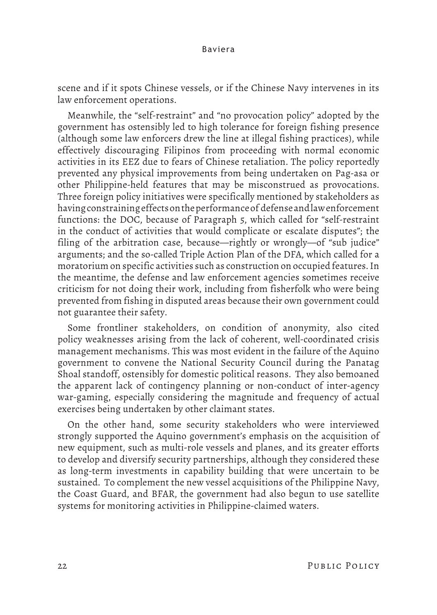scene and if it spots Chinese vessels, or if the Chinese Navy intervenes in its law enforcement operations.

Meanwhile, the "self-restraint" and "no provocation policy" adopted by the government has ostensibly led to high tolerance for foreign fishing presence (although some law enforcers drew the line at illegal fishing practices), while effectively discouraging Filipinos from proceeding with normal economic activities in its EEZ due to fears of Chinese retaliation. The policy reportedly prevented any physical improvements from being undertaken on Pag-asa or other Philippine-held features that may be misconstrued as provocations. Three foreign policy initiatives were specifically mentioned by stakeholders as having constraining effects on the performance of defense and law enforcement functions: the DOC, because of Paragraph 5, which called for "self-restraint in the conduct of activities that would complicate or escalate disputes"; the filing of the arbitration case, because—rightly or wrongly—of "sub judice" arguments; and the so-called Triple Action Plan of the DFA, which called for a moratorium on specific activities such as construction on occupied features. In the meantime, the defense and law enforcement agencies sometimes receive criticism for not doing their work, including from fisherfolk who were being prevented from fishing in disputed areas because their own government could not guarantee their safety.

Some frontliner stakeholders, on condition of anonymity, also cited policy weaknesses arising from the lack of coherent, well-coordinated crisis management mechanisms. This was most evident in the failure of the Aquino government to convene the National Security Council during the Panatag Shoal standoff, ostensibly for domestic political reasons. They also bemoaned the apparent lack of contingency planning or non-conduct of inter-agency war-gaming, especially considering the magnitude and frequency of actual exercises being undertaken by other claimant states.

On the other hand, some security stakeholders who were interviewed strongly supported the Aquino government's emphasis on the acquisition of new equipment, such as multi-role vessels and planes, and its greater efforts to develop and diversify security partnerships, although they considered these as long-term investments in capability building that were uncertain to be sustained. To complement the new vessel acquisitions of the Philippine Navy, the Coast Guard, and BFAR, the government had also begun to use satellite systems for monitoring activities in Philippine-claimed waters.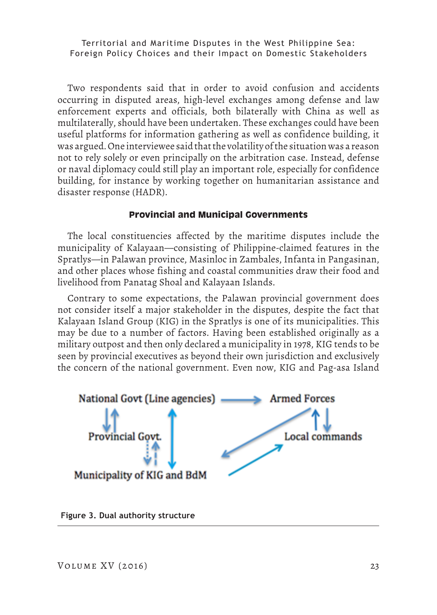Two respondents said that in order to avoid confusion and accidents occurring in disputed areas, high-level exchanges among defense and law enforcement experts and officials, both bilaterally with China as well as multilaterally, should have been undertaken. These exchanges could have been useful platforms for information gathering as well as confidence building, it was argued. One interviewee said that the volatility of the situation was a reason not to rely solely or even principally on the arbitration case. Instead, defense or naval diplomacy could still play an important role, especially for confidence building, for instance by working together on humanitarian assistance and disaster response (HADR).

# **Provincial and Municipal Governments**

The local constituencies affected by the maritime disputes include the municipality of Kalayaan—consisting of Philippine-claimed features in the Spratlys—in Palawan province, Masinloc in Zambales, Infanta in Pangasinan, and other places whose fishing and coastal communities draw their food and livelihood from Panatag Shoal and Kalayaan Islands.

Contrary to some expectations, the Palawan provincial government does not consider itself a major stakeholder in the disputes, despite the fact that Kalayaan Island Group (KIG) in the Spratlys is one of its municipalities. This may be due to a number of factors. Having been established originally as a military outpost and then only declared a municipality in 1978, KIG tends to be seen by provincial executives as beyond their own jurisdiction and exclusively the concern of the national government. Even now, KIG and Pag-asa Island



**Figure 3. Dual authority structure**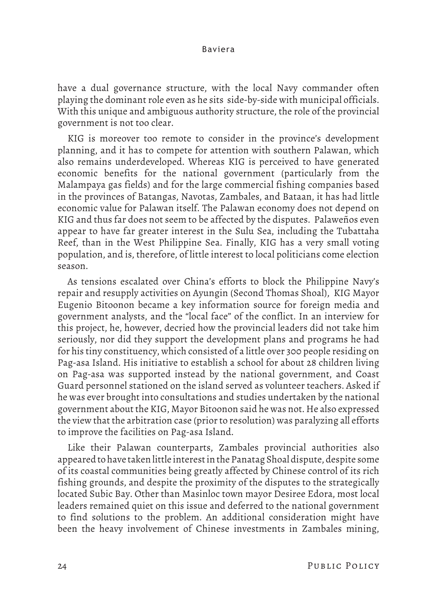have a dual governance structure, with the local Navy commander often playing the dominant role even as he sits side-by-side with municipal officials. With this unique and ambiguous authority structure, the role of the provincial government is not too clear.

KIG is moreover too remote to consider in the province's development planning, and it has to compete for attention with southern Palawan, which also remains underdeveloped. Whereas KIG is perceived to have generated economic benefits for the national government (particularly from the Malampaya gas fields) and for the large commercial fishing companies based in the provinces of Batangas, Navotas, Zambales, and Bataan, it has had little economic value for Palawan itself. The Palawan economy does not depend on KIG and thus far does not seem to be affected by the disputes. Palaweños even appear to have far greater interest in the Sulu Sea, including the Tubattaha Reef, than in the West Philippine Sea. Finally, KIG has a very small voting population, and is, therefore, of little interest to local politicians come election season.

As tensions escalated over China's efforts to block the Philippine Navy's repair and resupply activities on Ayungin (Second Thomas Shoal), KIG Mayor Eugenio Bitoonon became a key information source for foreign media and government analysts, and the "local face" of the conflict. In an interview for this project, he, however, decried how the provincial leaders did not take him seriously, nor did they support the development plans and programs he had for his tiny constituency, which consisted of a little over 300 people residing on Pag-asa Island. His initiative to establish a school for about 28 children living on Pag-asa was supported instead by the national government, and Coast Guard personnel stationed on the island served as volunteer teachers. Asked if he was ever brought into consultations and studies undertaken by the national government about the KIG, Mayor Bitoonon said he was not. He also expressed the view that the arbitration case (prior to resolution) was paralyzing all efforts to improve the facilities on Pag-asa Island.

Like their Palawan counterparts, Zambales provincial authorities also appeared to have taken little interest in the Panatag Shoal dispute, despite some of its coastal communities being greatly affected by Chinese control of its rich fishing grounds, and despite the proximity of the disputes to the strategically located Subic Bay. Other than Masinloc town mayor Desiree Edora, most local leaders remained quiet on this issue and deferred to the national government to find solutions to the problem. An additional consideration might have been the heavy involvement of Chinese investments in Zambales mining,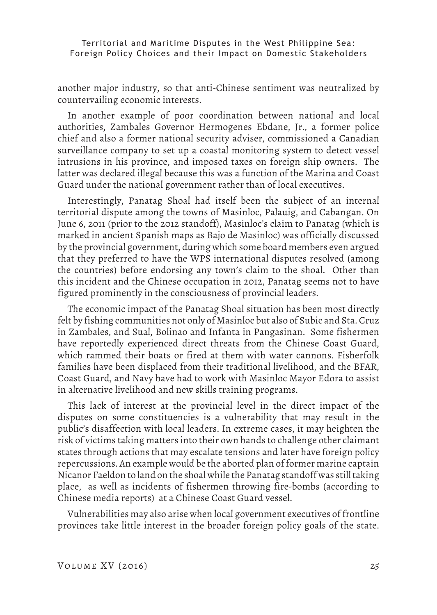another major industry, so that anti-Chinese sentiment was neutralized by countervailing economic interests.

In another example of poor coordination between national and local authorities, Zambales Governor Hermogenes Ebdane, Jr., a former police chief and also a former national security adviser, commissioned a Canadian surveillance company to set up a coastal monitoring system to detect vessel intrusions in his province, and imposed taxes on foreign ship owners. The latter was declared illegal because this was a function of the Marina and Coast Guard under the national government rather than of local executives.

Interestingly, Panatag Shoal had itself been the subject of an internal territorial dispute among the towns of Masinloc, Palauig, and Cabangan. On June 6, 2011 (prior to the 2012 standoff), Masinloc's claim to Panatag (which is marked in ancient Spanish maps as Bajo de Masinloc) was officially discussed by the provincial government, during which some board members even argued that they preferred to have the WPS international disputes resolved (among the countries) before endorsing any town's claim to the shoal. Other than this incident and the Chinese occupation in 2012, Panatag seems not to have figured prominently in the consciousness of provincial leaders.

The economic impact of the Panatag Shoal situation has been most directly felt by fishing communities not only of Masinloc but also of Subic and Sta. Cruz in Zambales, and Sual, Bolinao and Infanta in Pangasinan. Some fishermen have reportedly experienced direct threats from the Chinese Coast Guard, which rammed their boats or fired at them with water cannons. Fisherfolk families have been displaced from their traditional livelihood, and the BFAR, Coast Guard, and Navy have had to work with Masinloc Mayor Edora to assist in alternative livelihood and new skills training programs.

This lack of interest at the provincial level in the direct impact of the disputes on some constituencies is a vulnerability that may result in the public's disaffection with local leaders. In extreme cases, it may heighten the risk of victims taking matters into their own hands to challenge other claimant states through actions that may escalate tensions and later have foreign policy repercussions. An example would be the aborted plan of former marine captain Nicanor Faeldon to land on the shoal while the Panatag standoff was still taking place, as well as incidents of fishermen throwing fire-bombs (according to Chinese media reports) at a Chinese Coast Guard vessel.

Vulnerabilities may also arise when local government executives of frontline provinces take little interest in the broader foreign policy goals of the state.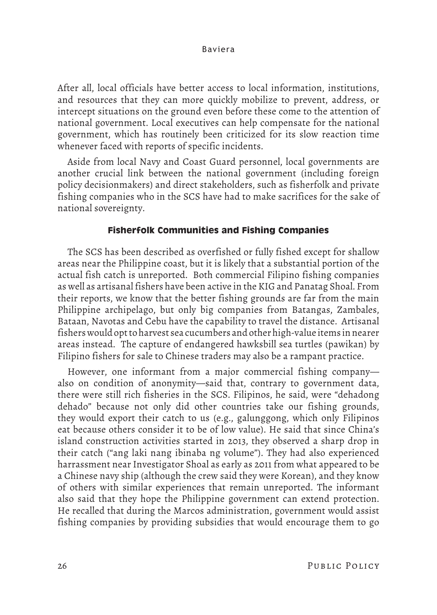After all, local officials have better access to local information, institutions, and resources that they can more quickly mobilize to prevent, address, or intercept situations on the ground even before these come to the attention of national government. Local executives can help compensate for the national government, which has routinely been criticized for its slow reaction time whenever faced with reports of specific incidents.

Aside from local Navy and Coast Guard personnel, local governments are another crucial link between the national government (including foreign policy decisionmakers) and direct stakeholders, such as fisherfolk and private fishing companies who in the SCS have had to make sacrifices for the sake of national sovereignty.

# **Fisherfolk Communities and Fishing Companies**

The SCS has been described as overfished or fully fished except for shallow areas near the Philippine coast, but it is likely that a substantial portion of the actual fish catch is unreported. Both commercial Filipino fishing companies as well as artisanal fishers have been active in the KIG and Panatag Shoal. From their reports, we know that the better fishing grounds are far from the main Philippine archipelago, but only big companies from Batangas, Zambales, Bataan, Navotas and Cebu have the capability to travel the distance. Artisanal fishers would opt to harvest sea cucumbers and other high-value items in nearer areas instead. The capture of endangered hawksbill sea turtles (pawikan) by Filipino fishers for sale to Chinese traders may also be a rampant practice.

However, one informant from a major commercial fishing company also on condition of anonymity—said that, contrary to government data, there were still rich fisheries in the SCS. Filipinos, he said, were "dehadong dehado" because not only did other countries take our fishing grounds, they would export their catch to us (e.g., galunggong, which only Filipinos eat because others consider it to be of low value). He said that since China's island construction activities started in 2013, they observed a sharp drop in their catch ("ang laki nang ibinaba ng volume"). They had also experienced harrassment near Investigator Shoal as early as 2011 from what appeared to be a Chinese navy ship (although the crew said they were Korean), and they know of others with similar experiences that remain unreported. The informant also said that they hope the Philippine government can extend protection. He recalled that during the Marcos administration, government would assist fishing companies by providing subsidies that would encourage them to go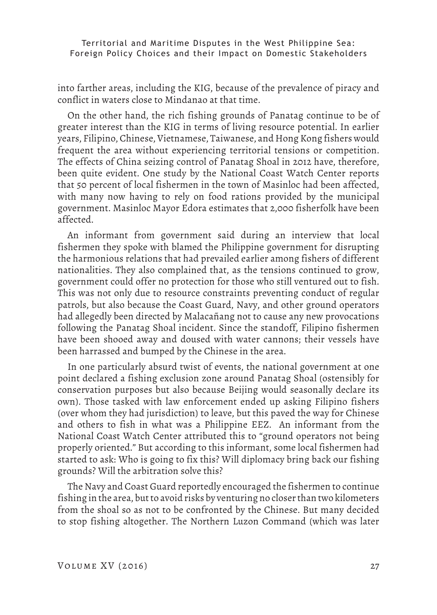into farther areas, including the KIG, because of the prevalence of piracy and conflict in waters close to Mindanao at that time.

On the other hand, the rich fishing grounds of Panatag continue to be of greater interest than the KIG in terms of living resource potential. In earlier years, Filipino, Chinese, Vietnamese, Taiwanese, and Hong Kong fishers would frequent the area without experiencing territorial tensions or competition. The effects of China seizing control of Panatag Shoal in 2012 have, therefore, been quite evident. One study by the National Coast Watch Center reports that 50 percent of local fishermen in the town of Masinloc had been affected, with many now having to rely on food rations provided by the municipal government. Masinloc Mayor Edora estimates that 2,000 fisherfolk have been affected.

An informant from government said during an interview that local fishermen they spoke with blamed the Philippine government for disrupting the harmonious relations that had prevailed earlier among fishers of different nationalities. They also complained that, as the tensions continued to grow, government could offer no protection for those who still ventured out to fish. This was not only due to resource constraints preventing conduct of regular patrols, but also because the Coast Guard, Navy, and other ground operators had allegedly been directed by Malacañang not to cause any new provocations following the Panatag Shoal incident. Since the standoff, Filipino fishermen have been shooed away and doused with water cannons; their vessels have been harrassed and bumped by the Chinese in the area.

In one particularly absurd twist of events, the national government at one point declared a fishing exclusion zone around Panatag Shoal (ostensibly for conservation purposes but also because Beijing would seasonally declare its own). Those tasked with law enforcement ended up asking Filipino fishers (over whom they had jurisdiction) to leave, but this paved the way for Chinese and others to fish in what was a Philippine EEZ. An informant from the National Coast Watch Center attributed this to "ground operators not being properly oriented." But according to this informant, some local fishermen had started to ask: Who is going to fix this? Will diplomacy bring back our fishing grounds? Will the arbitration solve this?

The Navy and Coast Guard reportedly encouraged the fishermen to continue fishing in the area, but to avoid risks by venturing no closer than two kilometers from the shoal so as not to be confronted by the Chinese. But many decided to stop fishing altogether. The Northern Luzon Command (which was later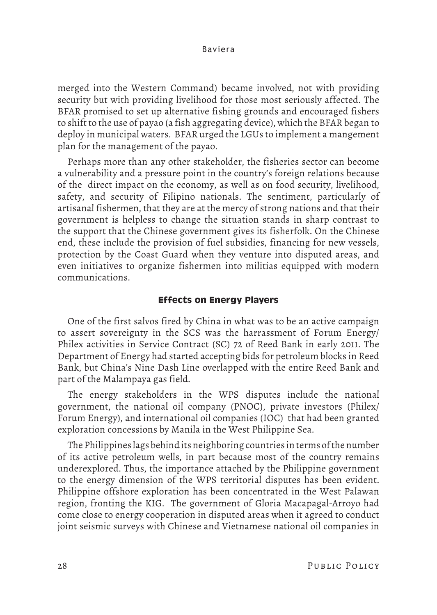merged into the Western Command) became involved, not with providing security but with providing livelihood for those most seriously affected. The BFAR promised to set up alternative fishing grounds and encouraged fishers to shift to the use of payao (a fish aggregating device), which the BFAR began to deploy in municipal waters. BFAR urged the LGUs to implement a mangement plan for the management of the payao.

Perhaps more than any other stakeholder, the fisheries sector can become a vulnerability and a pressure point in the country's foreign relations because of the direct impact on the economy, as well as on food security, livelihood, safety, and security of Filipino nationals. The sentiment, particularly of artisanal fishermen, that they are at the mercy of strong nations and that their government is helpless to change the situation stands in sharp contrast to the support that the Chinese government gives its fisherfolk. On the Chinese end, these include the provision of fuel subsidies, financing for new vessels, protection by the Coast Guard when they venture into disputed areas, and even initiatives to organize fishermen into militias equipped with modern communications.

# **Effects on Energy Players**

One of the first salvos fired by China in what was to be an active campaign to assert sovereignty in the SCS was the harrassment of Forum Energy/ Philex activities in Service Contract (SC) 72 of Reed Bank in early 2011. The Department of Energy had started accepting bids for petroleum blocks in Reed Bank, but China's Nine Dash Line overlapped with the entire Reed Bank and part of the Malampaya gas field.

The energy stakeholders in the WPS disputes include the national government, the national oil company (PNOC), private investors (Philex/ Forum Energy), and international oil companies (IOC) that had been granted exploration concessions by Manila in the West Philippine Sea.

The Philippines lags behind its neighboring countries in terms of the number of its active petroleum wells, in part because most of the country remains underexplored. Thus, the importance attached by the Philippine government to the energy dimension of the WPS territorial disputes has been evident. Philippine offshore exploration has been concentrated in the West Palawan region, fronting the KIG. The government of Gloria Macapagal-Arroyo had come close to energy cooperation in disputed areas when it agreed to conduct joint seismic surveys with Chinese and Vietnamese national oil companies in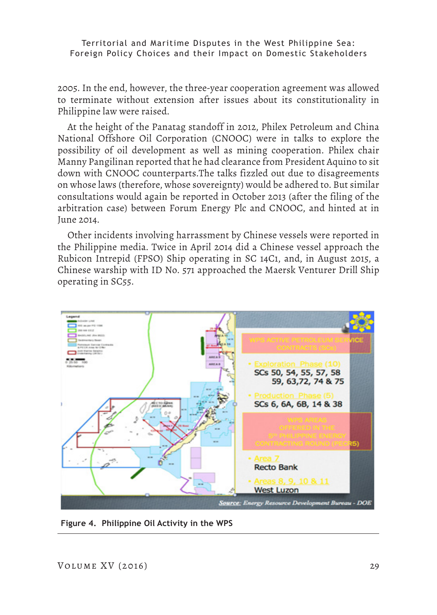2005. In the end, however, the three-year cooperation agreement was allowed to terminate without extension after issues about its constitutionality in Philippine law were raised.

At the height of the Panatag standoff in 2012, Philex Petroleum and China National Offshore Oil Corporation (CNOOC) were in talks to explore the possibility of oil development as well as mining cooperation. Philex chair Manny Pangilinan reported that he had clearance from President Aquino to sit down with CNOOC counterparts.The talks fizzled out due to disagreements on whose laws (therefore, whose sovereignty) would be adhered to. But similar consultations would again be reported in October 2013 (after the filing of the arbitration case) between Forum Energy Plc and CNOOC, and hinted at in June 2014.

Other incidents involving harrassment by Chinese vessels were reported in the Philippine media. Twice in April 2014 did a Chinese vessel approach the Rubicon Intrepid (FPSO) Ship operating in SC 14C1, and, in August 2015, a Chinese warship with ID No. 571 approached the Maersk Venturer Drill Ship operating in SC55.



**Figure 4. Philippine Oil Activity in the WPS**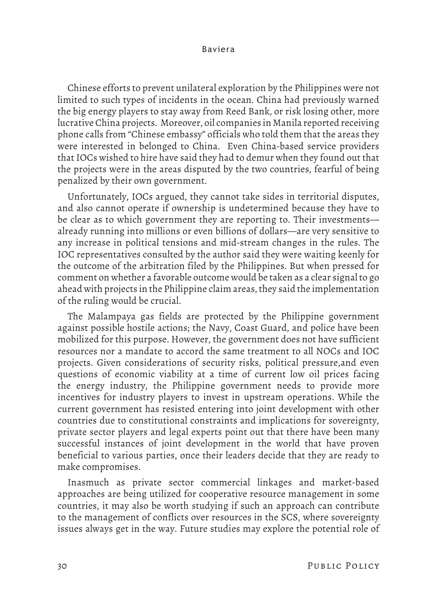Chinese efforts to prevent unilateral exploration by the Philippines were not limited to such types of incidents in the ocean. China had previously warned the big energy players to stay away from Reed Bank, or risk losing other, more lucrative China projects. Moreover, oil companies in Manila reported receiving phone calls from "Chinese embassy" officials who told them that the areas they were interested in belonged to China. Even China-based service providers that IOCs wished to hire have said they had to demur when they found out that the projects were in the areas disputed by the two countries, fearful of being penalized by their own government.

Unfortunately, IOCs argued, they cannot take sides in territorial disputes, and also cannot operate if ownership is undetermined because they have to be clear as to which government they are reporting to. Their investments already running into millions or even billions of dollars—are very sensitive to any increase in political tensions and mid-stream changes in the rules. The IOC representatives consulted by the author said they were waiting keenly for the outcome of the arbitration filed by the Philippines. But when pressed for comment on whether a favorable outcome would be taken as a clear signal to go ahead with projects in the Philippine claim areas, they said the implementation of the ruling would be crucial.

The Malampaya gas fields are protected by the Philippine government against possible hostile actions; the Navy, Coast Guard, and police have been mobilized for this purpose. However, the government does not have sufficient resources nor a mandate to accord the same treatment to all NOCs and IOC projects. Given considerations of security risks, political pressure,and even questions of economic viability at a time of current low oil prices facing the energy industry, the Philippine government needs to provide more incentives for industry players to invest in upstream operations. While the current government has resisted entering into joint development with other countries due to constitutional constraints and implications for sovereignty, private sector players and legal experts point out that there have been many successful instances of joint development in the world that have proven beneficial to various parties, once their leaders decide that they are ready to make compromises.

Inasmuch as private sector commercial linkages and market-based approaches are being utilized for cooperative resource management in some countries, it may also be worth studying if such an approach can contribute to the management of conflicts over resources in the SCS, where sovereignty issues always get in the way. Future studies may explore the potential role of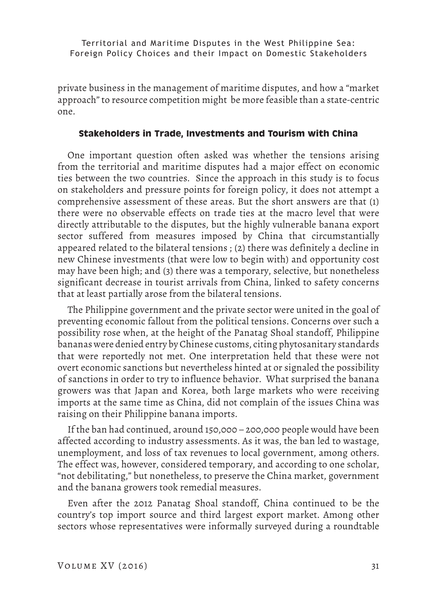private business in the management of maritime disputes, and how a "market approach" to resource competition might be more feasible than a state-centric one.

# **Stakeholders in Trade, Investments and Tourism with China**

One important question often asked was whether the tensions arising from the territorial and maritime disputes had a major effect on economic ties between the two countries. Since the approach in this study is to focus on stakeholders and pressure points for foreign policy, it does not attempt a comprehensive assessment of these areas. But the short answers are that (1) there were no observable effects on trade ties at the macro level that were directly attributable to the disputes, but the highly vulnerable banana export sector suffered from measures imposed by China that circumstantially appeared related to the bilateral tensions ; (2) there was definitely a decline in new Chinese investments (that were low to begin with) and opportunity cost may have been high; and (3) there was a temporary, selective, but nonetheless significant decrease in tourist arrivals from China, linked to safety concerns that at least partially arose from the bilateral tensions.

The Philippine government and the private sector were united in the goal of preventing economic fallout from the political tensions. Concerns over such a possibility rose when, at the height of the Panatag Shoal standoff, Philippine bananas were denied entry by Chinese customs, citing phytosanitary standards that were reportedly not met. One interpretation held that these were not overt economic sanctions but nevertheless hinted at or signaled the possibility of sanctions in order to try to influence behavior. What surprised the banana growers was that Japan and Korea, both large markets who were receiving imports at the same time as China, did not complain of the issues China was raising on their Philippine banana imports.

If the ban had continued, around 150,000 – 200,000 people would have been affected according to industry assessments. As it was, the ban led to wastage, unemployment, and loss of tax revenues to local government, among others. The effect was, however, considered temporary, and according to one scholar, "not debilitating," but nonetheless, to preserve the China market, government and the banana growers took remedial measures.

Even after the 2012 Panatag Shoal standoff, China continued to be the country's top import source and third largest export market. Among other sectors whose representatives were informally surveyed during a roundtable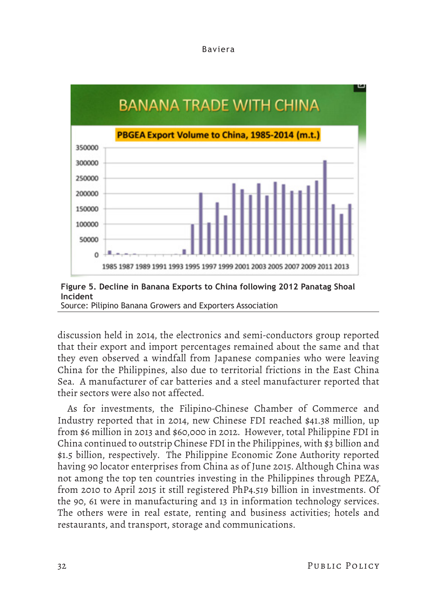



Source: Pilipino Banana Growers and Exporters Association

discussion held in 2014, the electronics and semi-conductors group reported that their export and import percentages remained about the same and that they even observed a windfall from Japanese companies who were leaving China for the Philippines, also due to territorial frictions in the East China Sea. A manufacturer of car batteries and a steel manufacturer reported that their sectors were also not affected.

As for investments, the Filipino-Chinese Chamber of Commerce and Industry reported that in 2014, new Chinese FDI reached \$41.38 million, up from \$6 million in 2013 and \$60,000 in 2012. However, total Philippine FDI in China continued to outstrip Chinese FDI in the Philippines, with \$3 billion and \$1.5 billion, respectively. The Philippine Economic Zone Authority reported having 90 locator enterprises from China as of June 2015. Although China was not among the top ten countries investing in the Philippines through PEZA, from 2010 to April 2015 it still registered PhP4.519 billion in investments. Of the 90, 61 were in manufacturing and 13 in information technology services. The others were in real estate, renting and business activities; hotels and restaurants, and transport, storage and communications.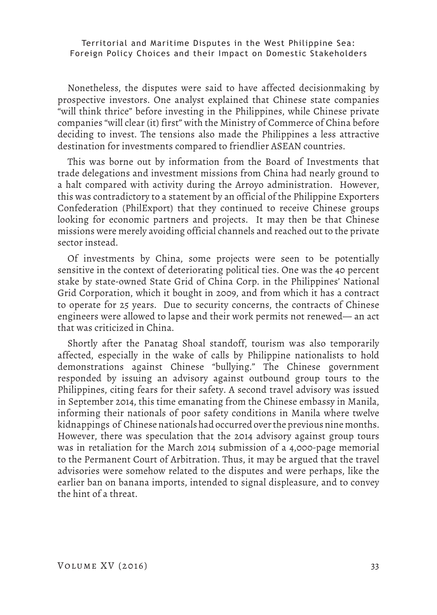Nonetheless, the disputes were said to have affected decisionmaking by prospective investors. One analyst explained that Chinese state companies "will think thrice" before investing in the Philippines, while Chinese private companies "will clear (it) first" with the Ministry of Commerce of China before deciding to invest. The tensions also made the Philippines a less attractive destination for investments compared to friendlier ASEAN countries.

This was borne out by information from the Board of Investments that trade delegations and investment missions from China had nearly ground to a halt compared with activity during the Arroyo administration. However, this was contradictory to a statement by an official of the Philippine Exporters Confederation (PhilExport) that they continued to receive Chinese groups looking for economic partners and projects. It may then be that Chinese missions were merely avoiding official channels and reached out to the private sector instead.

Of investments by China, some projects were seen to be potentially sensitive in the context of deteriorating political ties. One was the 40 percent stake by state-owned State Grid of China Corp. in the Philippines' National Grid Corporation, which it bought in 2009, and from which it has a contract to operate for 25 years. Due to security concerns, the contracts of Chinese engineers were allowed to lapse and their work permits not renewed— an act that was criticized in China.

Shortly after the Panatag Shoal standoff, tourism was also temporarily affected, especially in the wake of calls by Philippine nationalists to hold demonstrations against Chinese "bullying." The Chinese government responded by issuing an advisory against outbound group tours to the Philippines, citing fears for their safety. A second travel advisory was issued in September 2014, this time emanating from the Chinese embassy in Manila, informing their nationals of poor safety conditions in Manila where twelve kidnappings of Chinese nationals had occurred over the previous nine months. However, there was speculation that the 2014 advisory against group tours was in retaliation for the March 2014 submission of a 4,000-page memorial to the Permanent Court of Arbitration. Thus, it may be argued that the travel advisories were somehow related to the disputes and were perhaps, like the earlier ban on banana imports, intended to signal displeasure, and to convey the hint of a threat.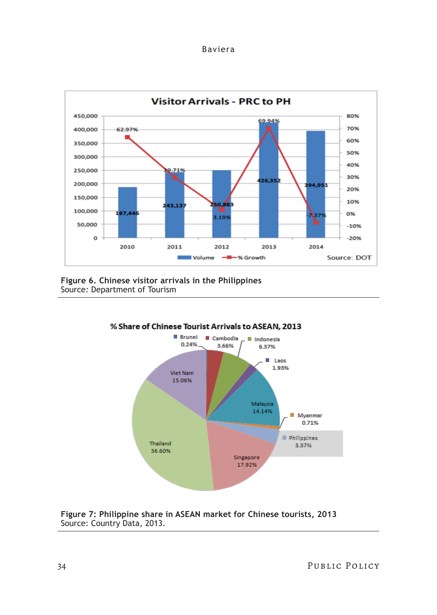





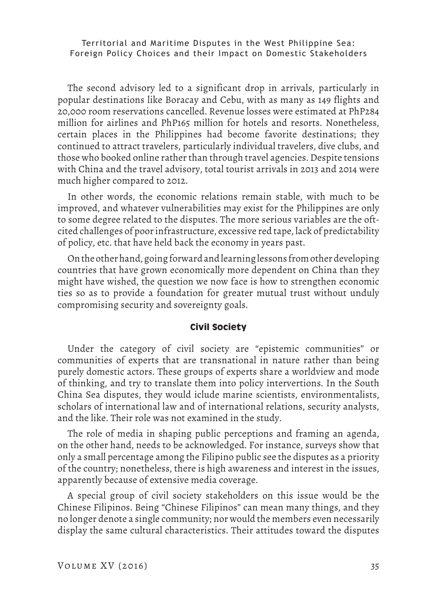The second advisory led to a significant drop in arrivals, particularly in popular destinations like Boracay and Cebu, with as many as 149 flights and 20,000 room reservations cancelled. Revenue losses were estimated at PhP284 million for airlines and PhP165 million for hotels and resorts. Nonetheless, certain places in the Philippines had become favorite destinations; they continued to attract travelers, particularly individual travelers, dive clubs, and those who booked online rather than through travel agencies. Despite tensions with China and the travel advisory, total tourist arrivals in 2013 and 2014 were much higher compared to 2012.

In other words, the economic relations remain stable, with much to be improved, and whatever vulnerabilities may exist for the Philippines are only to some degree related to the disputes. The more serious variables are the oftcited challenges of poor infrastructure, excessive red tape, lack of predictability of policy, etc. that have held back the economy in years past.

On the other hand, going forward and learning lessons from other developing countries that have grown economically more dependent on China than they might have wished, the question we now face is how to strengthen economic ties so as to provide a foundation for greater mutual trust without unduly compromising security and sovereignty goals.

#### **Civil Society**

Under the category of civil society are "epistemic communities" or communities of experts that are transnational in nature rather than being purely domestic actors. These groups of experts share a worldview and mode of thinking, and try to translate them into policy intervertions. In the South China Sea disputes, they would iclude marine scientists, environmentalists, scholars of international law and of international relations, security analysts, and the like. Their role was not examined in the study.

The role of media in shaping public perceptions and framing an agenda, on the other hand, needs to be acknowledged. For instance, surveys show that only a small percentage among the Filipino public see the disputes as a priority of the country; nonetheless, there is high awareness and interest in the issues, apparently because of extensive media coverage.

A special group of civil society stakeholders on this issue would be the Chinese Filipinos. Being "Chinese Filipinos" can mean many things, and they no longer denote a single community; nor would the members even necessarily display the same cultural characteristics. Their attitudes toward the disputes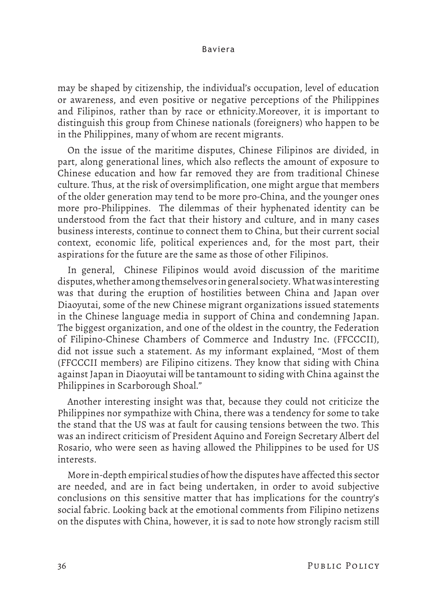may be shaped by citizenship, the individual's occupation, level of education or awareness, and even positive or negative perceptions of the Philippines and Filipinos, rather than by race or ethnicity.Moreover, it is important to distinguish this group from Chinese nationals (foreigners) who happen to be in the Philippines, many of whom are recent migrants.

On the issue of the maritime disputes, Chinese Filipinos are divided, in part, along generational lines, which also reflects the amount of exposure to Chinese education and how far removed they are from traditional Chinese culture. Thus, at the risk of oversimplification, one might argue that members of the older generation may tend to be more pro-China, and the younger ones more pro-Philippines. The dilemmas of their hyphenated identity can be understood from the fact that their history and culture, and in many cases business interests, continue to connect them to China, but their current social context, economic life, political experiences and, for the most part, their aspirations for the future are the same as those of other Filipinos.

In general, Chinese Filipinos would avoid discussion of the maritime disputes, whether among themselves or in general society. What was interesting was that during the eruption of hostilities between China and Japan over Diaoyutai, some of the new Chinese migrant organizations issued statements in the Chinese language media in support of China and condemning Japan. The biggest organization, and one of the oldest in the country, the Federation of Filipino-Chinese Chambers of Commerce and Industry Inc. (FFCCCII), did not issue such a statement. As my informant explained, "Most of them (FFCCCII members) are Filipino citizens. They know that siding with China against Japan in Diaoyutai will be tantamount to siding with China against the Philippines in Scarborough Shoal."

Another interesting insight was that, because they could not criticize the Philippines nor sympathize with China, there was a tendency for some to take the stand that the US was at fault for causing tensions between the two. This was an indirect criticism of President Aquino and Foreign Secretary Albert del Rosario, who were seen as having allowed the Philippines to be used for US interests.

More in-depth empirical studies of how the disputes have affected this sector are needed, and are in fact being undertaken, in order to avoid subjective conclusions on this sensitive matter that has implications for the country's social fabric. Looking back at the emotional comments from Filipino netizens on the disputes with China, however, it is sad to note how strongly racism still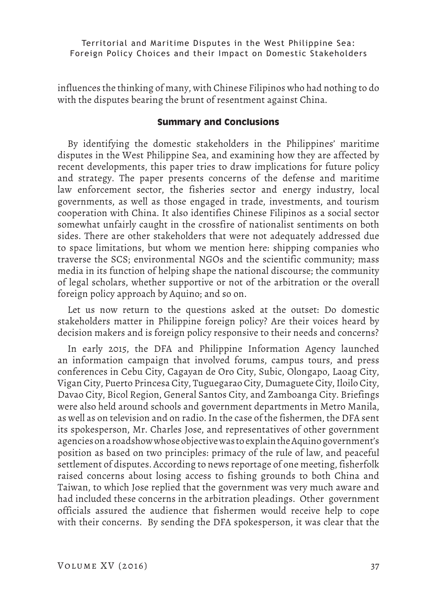influences the thinking of many, with Chinese Filipinos who had nothing to do with the disputes bearing the brunt of resentment against China.

# **Summary and Conclusions**

By identifying the domestic stakeholders in the Philippines' maritime disputes in the West Philippine Sea, and examining how they are affected by recent developments, this paper tries to draw implications for future policy and strategy. The paper presents concerns of the defense and maritime law enforcement sector, the fisheries sector and energy industry, local governments, as well as those engaged in trade, investments, and tourism cooperation with China. It also identifies Chinese Filipinos as a social sector somewhat unfairly caught in the crossfire of nationalist sentiments on both sides. There are other stakeholders that were not adequately addressed due to space limitations, but whom we mention here: shipping companies who traverse the SCS; environmental NGOs and the scientific community; mass media in its function of helping shape the national discourse; the community of legal scholars, whether supportive or not of the arbitration or the overall foreign policy approach by Aquino; and so on.

Let us now return to the questions asked at the outset: Do domestic stakeholders matter in Philippine foreign policy? Are their voices heard by decision makers and is foreign policy responsive to their needs and concerns?

In early 2015, the DFA and Philippine Information Agency launched an information campaign that involved forums, campus tours, and press conferences in Cebu City, Cagayan de Oro City, Subic, Olongapo, Laoag City, Vigan City, Puerto Princesa City, Tuguegarao City, Dumaguete City, Iloilo City, Davao City, Bicol Region, General Santos City, and Zamboanga City. Briefings were also held around schools and government departments in Metro Manila, as well as on television and on radio. In the case of the fishermen, the DFA sent its spokesperson, Mr. Charles Jose, and representatives of other government agencies on a roadshow whose objective was to explain the Aquino government's position as based on two principles: primacy of the rule of law, and peaceful settlement of disputes. According to news reportage of one meeting, fisherfolk raised concerns about losing access to fishing grounds to both China and Taiwan, to which Jose replied that the government was very much aware and had included these concerns in the arbitration pleadings. Other government officials assured the audience that fishermen would receive help to cope with their concerns. By sending the DFA spokesperson, it was clear that the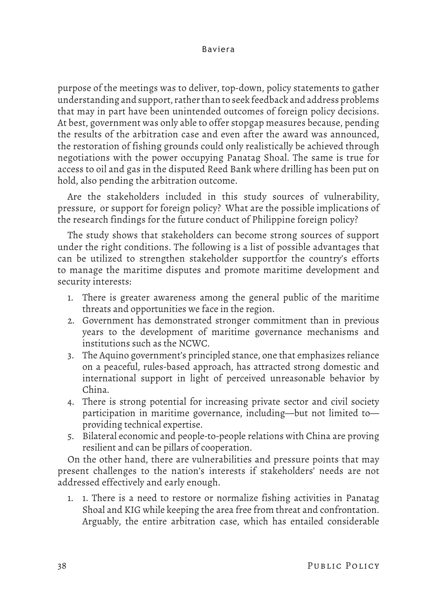purpose of the meetings was to deliver, top-down, policy statements to gather understanding and support, rather than to seek feedback and address problems that may in part have been unintended outcomes of foreign policy decisions. At best, government was only able to offer stopgap measures because, pending the results of the arbitration case and even after the award was announced, the restoration of fishing grounds could only realistically be achieved through negotiations with the power occupying Panatag Shoal. The same is true for access to oil and gas in the disputed Reed Bank where drilling has been put on hold, also pending the arbitration outcome.

Are the stakeholders included in this study sources of vulnerability, pressure, or support for foreign policy? What are the possible implications of the research findings for the future conduct of Philippine foreign policy?

The study shows that stakeholders can become strong sources of support under the right conditions. The following is a list of possible advantages that can be utilized to strengthen stakeholder supportfor the country's efforts to manage the maritime disputes and promote maritime development and security interests:

- 1. There is greater awareness among the general public of the maritime threats and opportunities we face in the region.
- 2. Government has demonstrated stronger commitment than in previous years to the development of maritime governance mechanisms and institutions such as the NCWC.
- 3. The Aquino government's principled stance, one that emphasizes reliance on a peaceful, rules-based approach, has attracted strong domestic and international support in light of perceived unreasonable behavior by China.
- 4. There is strong potential for increasing private sector and civil society participation in maritime governance, including—but not limited to providing technical expertise.
- 5. Bilateral economic and people-to-people relations with China are proving resilient and can be pillars of cooperation.

On the other hand, there are vulnerabilities and pressure points that may present challenges to the nation's interests if stakeholders' needs are not addressed effectively and early enough.

1. 1. There is a need to restore or normalize fishing activities in Panatag Shoal and KIG while keeping the area free from threat and confrontation. Arguably, the entire arbitration case, which has entailed considerable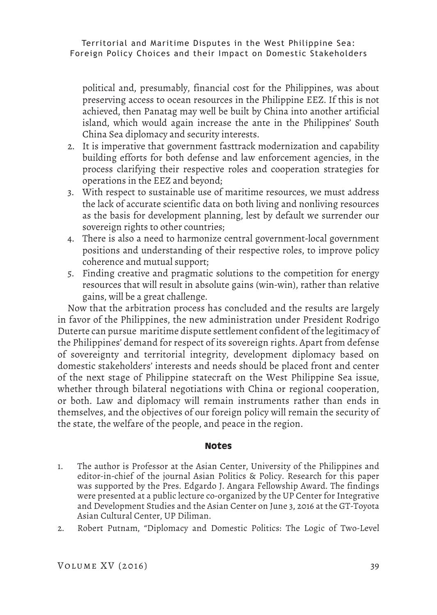political and, presumably, financial cost for the Philippines, was about preserving access to ocean resources in the Philippine EEZ. If this is not achieved, then Panatag may well be built by China into another artificial island, which would again increase the ante in the Philippines' South China Sea diplomacy and security interests.

- 2. It is imperative that government fasttrack modernization and capability building efforts for both defense and law enforcement agencies, in the process clarifying their respective roles and cooperation strategies for operations in the EEZ and beyond;
- 3. With respect to sustainable use of maritime resources, we must address the lack of accurate scientific data on both living and nonliving resources as the basis for development planning, lest by default we surrender our sovereign rights to other countries;
- 4. There is also a need to harmonize central government-local government positions and understanding of their respective roles, to improve policy coherence and mutual support;
- 5. Finding creative and pragmatic solutions to the competition for energy resources that will result in absolute gains (win-win), rather than relative gains, will be a great challenge.

Now that the arbitration process has concluded and the results are largely in favor of the Philippines, the new administration under President Rodrigo Duterte can pursue maritime dispute settlement confident of the legitimacy of the Philippines' demand for respect of its sovereign rights. Apart from defense of sovereignty and territorial integrity, development diplomacy based on domestic stakeholders' interests and needs should be placed front and center of the next stage of Philippine statecraft on the West Philippine Sea issue, whether through bilateral negotiations with China or regional cooperation, or both. Law and diplomacy will remain instruments rather than ends in themselves, and the objectives of our foreign policy will remain the security of the state, the welfare of the people, and peace in the region.

# **Notes**

- 1. The author is Professor at the Asian Center, University of the Philippines and editor-in-chief of the journal Asian Politics & Policy. Research for this paper was supported by the Pres. Edgardo J. Angara Fellowship Award. The findings were presented at a public lecture co-organized by the UP Center for Integrative and Development Studies and the Asian Center on June 3, 2016 at the GT-Toyota Asian Cultural Center, UP Diliman.
- 2. Robert Putnam, "Diplomacy and Domestic Politics: The Logic of Two-Level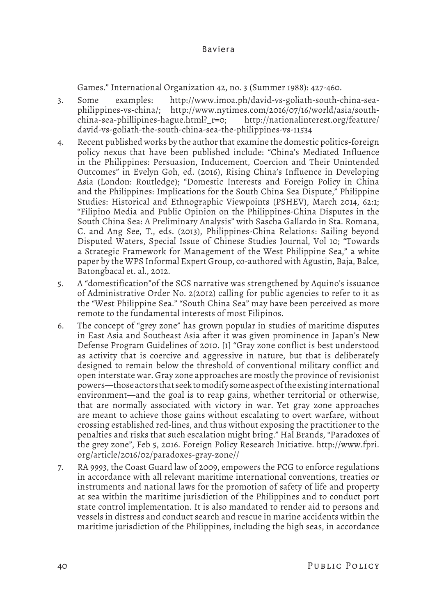Games." International Organization 42, no. 3 (Summer 1988): 427-460.

- 3. Some examples: http://www.imoa.ph/david-vs-goliath-south-china-seaphilippines-vs-china/; http://www.nytimes.com/2016/07/16/world/asia/southchina-sea-phillipines-hague.html?\_r=0; http://nationalinterest.org/feature/ david-vs-goliath-the-south-china-sea-the-philippines-vs-11534
- 4. Recent published works by the author that examine the domestic politics-foreign policy nexus that have been published include: "China's Mediated Influence in the Philippines: Persuasion, Inducement, Coercion and Their Unintended Outcomes" in Evelyn Goh, ed. (2016), Rising China's Influence in Developing Asia (London: Routledge); "Domestic Interests and Foreign Policy in China and the Philippines: Implications for the South China Sea Dispute," Philippine Studies: Historical and Ethnographic Viewpoints (PSHEV), March 2014, 62:1; "Filipino Media and Public Opinion on the Philippines-China Disputes in the South China Sea: A Preliminary Analysis" with Sascha Gallardo in Sta. Romana, C. and Ang See, T., eds. (2013), Philippines-China Relations: Sailing beyond Disputed Waters, Special Issue of Chinese Studies Journal, Vol 10; "Towards a Strategic Framework for Management of the West Philippine Sea," a white paper by the WPS Informal Expert Group, co-authored with Agustin, Baja, Balce, Batongbacal et. al., 2012.
- 5. A "domestification"of the SCS narrative was strengthened by Aquino's issuance of Administrative Order No. 2(2012) calling for public agencies to refer to it as the "West Philippine Sea." "South China Sea" may have been perceived as more remote to the fundamental interests of most Filipinos.
- 6. The concept of "grey zone" has grown popular in studies of maritime disputes in East Asia and Southeast Asia after it was given prominence in Japan's New Defense Program Guidelines of 2010. [1] "Gray zone conflict is best understood as activity that is coercive and aggressive in nature, but that is deliberately designed to remain below the threshold of conventional military conflict and open interstate war. Gray zone approaches are mostly the province of revisionist powers—those actors that seek to modify some aspect of the existing international environment—and the goal is to reap gains, whether territorial or otherwise, that are normally associated with victory in war. Yet gray zone approaches are meant to achieve those gains without escalating to overt warfare, without crossing established red-lines, and thus without exposing the practitioner to the penalties and risks that such escalation might bring." Hal Brands, "Paradoxes of the grey zone", Feb 5, 2016. Foreign Policy Research Initiative. http://www.fpri. org/article/2016/02/paradoxes-gray-zone//
- 7. RA 9993, the Coast Guard law of 2009, empowers the PCG to enforce regulations in accordance with all relevant maritime international conventions, treaties or instruments and national laws for the promotion of safety of life and property at sea within the maritime jurisdiction of the Philippines and to conduct port state control implementation. It is also mandated to render aid to persons and vessels in distress and conduct search and rescue in marine accidents within the maritime jurisdiction of the Philippines, including the high seas, in accordance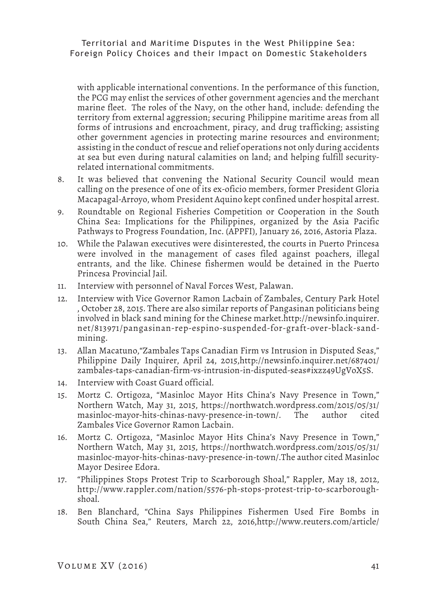with applicable international conventions. In the performance of this function, the PCG may enlist the services of other government agencies and the merchant marine fleet. The roles of the Navy, on the other hand, include: defending the territory from external aggression; securing Philippine maritime areas from all forms of intrusions and encroachment, piracy, and drug trafficking; assisting other government agencies in protecting marine resources and environment; assisting in the conduct of rescue and relief operations not only during accidents at sea but even during natural calamities on land; and helping fulfill securityrelated international commitments.

- 8. It was believed that convening the National Security Council would mean calling on the presence of one of its ex-oficio members, former President Gloria Macapagal-Arroyo, whom President Aquino kept confined under hospital arrest.
- 9. Roundtable on Regional Fisheries Competition or Cooperation in the South China Sea: Implications for the Philippines, organized by the Asia Pacific Pathways to Progress Foundation, Inc. (APPFI), January 26, 2016, Astoria Plaza.
- 10. While the Palawan executives were disinterested, the courts in Puerto Princesa were involved in the management of cases filed against poachers, illegal entrants, and the like. Chinese fishermen would be detained in the Puerto Princesa Provincial Jail.
- 11. Interview with personnel of Naval Forces West, Palawan.
- 12. Interview with Vice Governor Ramon Lacbain of Zambales, Century Park Hotel , October 28, 2015. There are also similar reports of Pangasinan politicians being involved in black sand mining for the Chinese market.http://newsinfo.inquirer. net/813971/pangasinan-rep-espino-suspended-for-graft-over-black-sandmining.
- 13. Allan Macatuno,"Zambales Taps Canadian Firm vs Intrusion in Disputed Seas," Philippine Daily Inquirer, April 24, 2015,http://newsinfo.inquirer.net/687401/ zambales-taps-canadian-firm-vs-intrusion-in-disputed-seas#ixzz49UgVoX5S.
- 14. Interview with Coast Guard official.
- 15. Mortz C. Ortigoza, "Masinloc Mayor Hits China's Navy Presence in Town," Northern Watch, May 31, 2015, https://northwatch.wordpress.com/2015/05/31/ masinloc-mayor-hits-chinas-navy-presence-in-town/. The author cited Zambales Vice Governor Ramon Lacbain.
- 16. Mortz C. Ortigoza, "Masinloc Mayor Hits China's Navy Presence in Town," Northern Watch, May 31, 2015, https://northwatch.wordpress.com/2015/05/31/ masinloc-mayor-hits-chinas-navy-presence-in-town/.The author cited Masinloc Mayor Desiree Edora.
- 17. "Philippines Stops Protest Trip to Scarborough Shoal," Rappler, May 18, 2012, http://www.rappler.com/nation/5576-ph-stops-protest-trip-to-scarboroughshoal.
- 18. Ben Blanchard, "China Says Philippines Fishermen Used Fire Bombs in South China Sea," Reuters, March 22, 2016,http://www.reuters.com/article/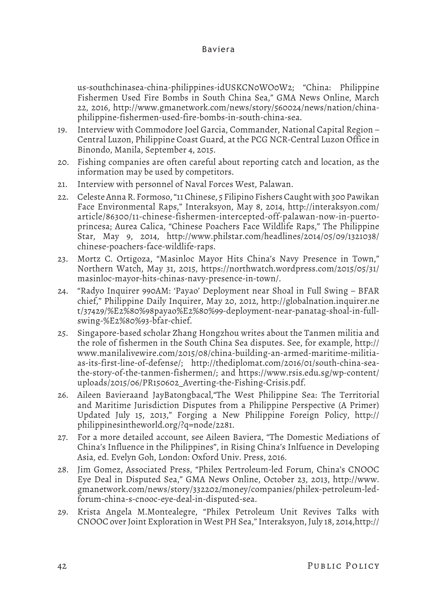us-southchinasea-china-philippines-idUSKCN0WO0W2; "China: Philippine Fishermen Used Fire Bombs in South China Sea," GMA News Online, March 22, 2016, http://www.gmanetwork.com/news/story/560024/news/nation/chinaphilippine-fishermen-used-fire-bombs-in-south-china-sea.

- 19. Interview with Commodore Joel Garcia, Commander, National Capital Region Central Luzon, Philippine Coast Guard, at the PCG NCR-Central Luzon Office in Binondo, Manila, September 4, 2015.
- 20. Fishing companies are often careful about reporting catch and location, as the information may be used by competitors.
- 21. Interview with personnel of Naval Forces West, Palawan.
- 22. Celeste Anna R. Formoso, "11 Chinese, 5 Filipino Fishers Caught with 300 Pawikan Face Environmental Raps," Interaksyon, May 8, 2014, http://interaksyon.com/ article/86300/11-chinese-fishermen-intercepted-off-palawan-now-in-puertoprincesa; Aurea Calica, "Chinese Poachers Face Wildlife Raps," The Philippine Star, May 9, 2014, http://www.philstar.com/headlines/2014/05/09/1321038/ chinese-poachers-face-wildlife-raps.
- 23. Mortz C. Ortigoza, "Masinloc Mayor Hits China's Navy Presence in Town," Northern Watch, May 31, 2015, https://northwatch.wordpress.com/2015/05/31/ masinloc-mayor-hits-chinas-navy-presence-in-town/.
- 24. "Radyo Inquirer 990AM: 'Payao' Deployment near Shoal in Full Swing BFAR chief," Philippine Daily Inquirer, May 20, 2012, http://globalnation.inquirer.ne t/37429/%E2%80%98payao%E2%80%99-deployment-near-panatag-shoal-in-fullswing-%E2%80%93-bfar-chief.
- 25. Singapore-based scholar Zhang Hongzhou writes about the Tanmen militia and the role of fishermen in the South China Sea disputes. See, for example, http:// www.manilalivewire.com/2015/08/china-building-an-armed-maritime-militiaas-its-first-line-of-defense/; http://thediplomat.com/2016/01/south-china-seathe-story-of-the-tanmen-fishermen/; and https://www.rsis.edu.sg/wp-content/ uploads/2015/06/PR150602\_Averting-the-Fishing-Crisis.pdf.
- 26. Aileen Bavieraand JayBatongbacal,"The West Philippine Sea: The Territorial and Maritime Jurisdiction Disputes from a Philippine Perspective (A Primer) Updated July 15, 2013," Forging a New Philippine Foreign Policy, http:// philippinesintheworld.org/?q=node/2281.
- 27. For a more detailed account, see Aileen Baviera, "The Domestic Mediations of China's Influence in the Philippines", in Rising China's Inlfuence in Developing Asia, ed. Evelyn Goh, London: Oxford Univ. Press, 2016.
- 28. Jim Gomez, Associated Press, "Philex Pertroleum-led Forum, China's CNOOC Eye Deal in Disputed Sea," GMA News Online, October 23, 2013, http://www. gmanetwork.com/news/story/332202/money/companies/philex-petroleum-ledforum-china-s-cnooc-eye-deal-in-disputed-sea.
- 29. Krista Angela M.Montealegre, "Philex Petroleum Unit Revives Talks with CNOOC over Joint Exploration in West PH Sea," Interaksyon, July 18, 2014,http://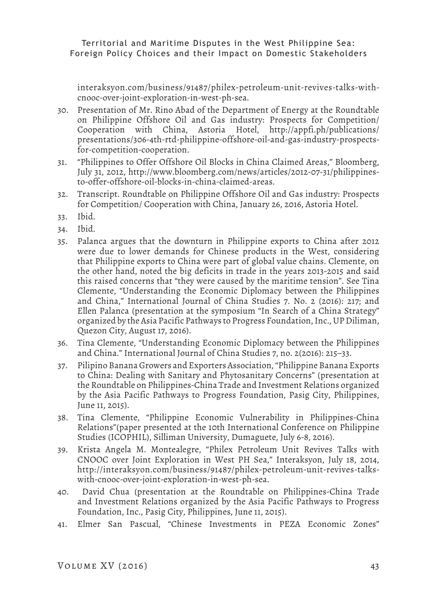interaksyon.com/business/91487/philex-petroleum-unit-revives-talks-withcnooc-over-joint-exploration-in-west-ph-sea.

- 30. Presentation of Mr. Rino Abad of the Department of Energy at the Roundtable on Philippine Offshore Oil and Gas industry: Prospects for Competition/ Cooperation with China, Astoria Hotel, http://appfi.ph/publications/ presentations/306-4th-rtd-philippine-offshore-oil-and-gas-industry-prospectsfor-competition-cooperation.
- 31. "Philippines to Offer Offshore Oil Blocks in China Claimed Areas," Bloomberg, July 31, 2012, http://www.bloomberg.com/news/articles/2012-07-31/philippinesto-offer-offshore-oil-blocks-in-china-claimed-areas.
- 32. Transcript. Roundtable on Philippine Offshore Oil and Gas industry: Prospects for Competition/ Cooperation with China, January 26, 2016, Astoria Hotel.
- 33. Ibid.
- 34. Ibid.
- 35. Palanca argues that the downturn in Philippine exports to China after 2012 were due to lower demands for Chinese products in the West, considering that Philippine exports to China were part of global value chains. Clemente, on the other hand, noted the big deficits in trade in the years 2013-2015 and said this raised concerns that "they were caused by the maritime tension". See Tina Clemente, "Understanding the Economic Diplomacy between the Philippines and China," International Journal of China Studies 7. No. 2 (2016): 217; and Ellen Palanca (presentation at the symposium "In Search of a China Strategy" organized by the Asia Pacific Pathways to Progress Foundation, Inc., UP Diliman, Quezon City, August 17, 2016).
- 36. Tina Clemente, "Understanding Economic Diplomacy between the Philippines and China." International Journal of China Studies 7, no. 2(2016): 215–33.
- 37. Pilipino Banana Growers and Exporters Association, "Philippine Banana Exports to China: Dealing with Sanitary and Phytosanitary Concerns" (presentation at the Roundtable on Philippines-China Trade and Investment Relations organized by the Asia Pacific Pathways to Progress Foundation, Pasig City, Philippines, June 11, 2015).
- 38. Tina Clemente, "Philippine Economic Vulnerability in Philippines-China Relations"(paper presented at the 10th International Conference on Philippine Studies (ICOPHIL), Silliman University, Dumaguete, July 6-8, 2016).
- 39. Krista Angela M. Montealegre, "Philex Petroleum Unit Revives Talks with CNOOC over Joint Exploration in West PH Sea," Interaksyon, July 18, 2014, http://interaksyon.com/business/91487/philex-petroleum-unit-revives-talkswith-cnooc-over-joint-exploration-in-west-ph-sea.
- 40. David Chua (presentation at the Roundtable on Philippines-China Trade and Investment Relations organized by the Asia Pacific Pathways to Progress Foundation, Inc., Pasig City, Philippines, June 11, 2015).
- 41. Elmer San Pascual, "Chinese Investments in PEZA Economic Zones"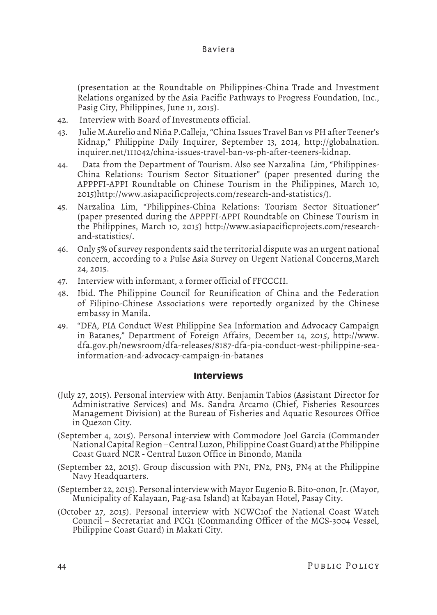(presentation at the Roundtable on Philippines-China Trade and Investment Relations organized by the Asia Pacific Pathways to Progress Foundation, Inc., Pasig City, Philippines, June 11, 2015).

- 42. Interview with Board of Investments official.
- 43. Julie M.Aurelio and Niña P.Calleja, "China Issues Travel Ban vs PH after Teener's Kidnap," Philippine Daily Inquirer, September 13, 2014, http://globalnation. inquirer.net/111042/china-issues-travel-ban-vs-ph-after-teeners-kidnap.
- 44. Data from the Department of Tourism. Also see Narzalina Lim, "Philippines-China Relations: Tourism Sector Situationer" (paper presented during the APPPFI-APPI Roundtable on Chinese Tourism in the Philippines, March 10, 2015)http://www.asiapacificprojects.com/research-and-statistics/).
- 45. Narzalina Lim, "Philippines-China Relations: Tourism Sector Situationer" (paper presented during the APPPFI-APPI Roundtable on Chinese Tourism in the Philippines, March 10, 2015) http://www.asiapacificprojects.com/researchand-statistics/.
- 46. Only 5% of survey respondents said the territorial dispute was an urgent national concern, according to a Pulse Asia Survey on Urgent National Concerns,March 24, 2015.
- 47. Interview with informant, a former official of FFCCCII.
- 48. Ibid. The Philippine Council for Reunification of China and the Federation of Filipino-Chinese Associations were reportedly organized by the Chinese embassy in Manila.
- 49. "DFA, PIA Conduct West Philippine Sea Information and Advocacy Campaign in Batanes," Department of Foreign Affairs, December 14, 2015, http://www. dfa.gov.ph/newsroom/dfa-releases/8187-dfa-pia-conduct-west-philippine-seainformation-and-advocacy-campaign-in-batanes

#### **Interviews**

- (July 27, 2015). Personal interview with Atty. Benjamin Tabios (Assistant Director for Administrative Services) and Ms. Sandra Arcamo (Chief, Fisheries Resources Management Division) at the Bureau of Fisheries and Aquatic Resources Office in Quezon City.
- (September 4, 2015). Personal interview with Commodore Joel Garcia (Commander National Capital Region – Central Luzon, Philippine Coast Guard) at the Philippine Coast Guard NCR - Central Luzon Office in Binondo, Manila
- (September 22, 2015). Group discussion with PN1, PN2, PN3, PN4 at the Philippine Navy Headquarters.
- (September 22, 2015). Personal interview with Mayor Eugenio B. Bito-onon, Jr. (Mayor, Municipality of Kalayaan, Pag-asa Island) at Kabayan Hotel, Pasay City.
- (October 27, 2015). Personal interview with NCWC1of the National Coast Watch Council – Secretariat and PCG1 (Commanding Officer of the MCS-3004 Vessel, Philippine Coast Guard) in Makati City.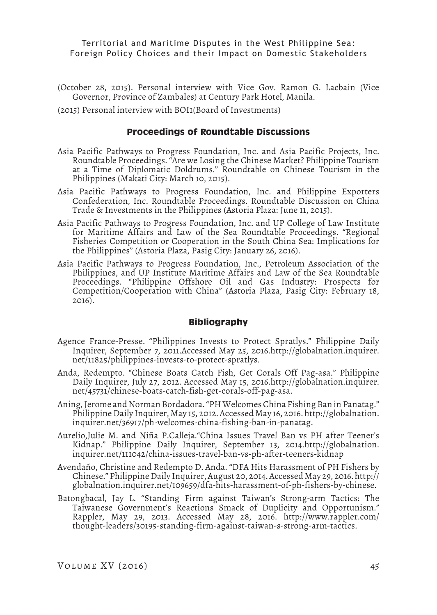- (October 28, 2015). Personal interview with Vice Gov. Ramon G. Lacbain (Vice Governor, Province of Zambales) at Century Park Hotel, Manila.
- (2015) Personal interview with BOI1(Board of Investments)

#### **Proceedings of Roundtable Discussions**

- Asia Pacific Pathways to Progress Foundation, Inc. and Asia Pacific Projects, Inc. Roundtable Proceedings. "Are we Losing the Chinese Market? Philippine Tourism at a Time of Diplomatic Doldrums." Roundtable on Chinese Tourism in the Philippines (Makati City: March 10, 2015).
- Asia Pacific Pathways to Progress Foundation, Inc. and Philippine Exporters Confederation, Inc. Roundtable Proceedings. Roundtable Discussion on China Trade & Investments in the Philippines (Astoria Plaza: June 11, 2015).
- Asia Pacific Pathways to Progress Foundation, Inc. and UP College of Law Institute for Maritime Affairs and Law of the Sea Roundtable Proceedings. "Regional Fisheries Competition or Cooperation in the South China Sea: Implications for the Philippines" (Astoria Plaza, Pasig City: January 26, 2016).
- Asia Pacific Pathways to Progress Foundation, Inc., Petroleum Association of the Philippines, and UP Institute Maritime Affairs and Law of the Sea Roundtable Proceedings. "Philippine Offshore Oil and Gas Industry: Prospects for Competition/Cooperation with China" (Astoria Plaza, Pasig City: February 18,  $2016$ ).

#### **Bibliography**

- Agence France-Presse. "Philippines Invests to Protect Spratlys." Philippine Daily Inquirer, September 7, 2011.Accessed May 25, 2016.http://globalnation.inquirer. net/11825/philippines-invests-to-protect-spratlys.
- Anda, Redempto. "Chinese Boats Catch Fish, Get Corals Off Pag-asa." Philippine Daily Inquirer, July 27, 2012. Accessed May 15, 2016.http://globalnation.inquirer. net/45731/chinese-boats-catch-fish-get-corals-off-pag-asa.
- Aning, Jerome and Norman Bordadora. "PH Welcomes China Fishing Ban in Panatag." Philippine Daily Inquirer, May 15, 2012. Accessed May 16, 2016. http://globalnation. inquirer.net/36917/ph-welcomes-china-fishing-ban-in-panatag.
- Aurelio,Julie M. and Niña P.Calleja."China Issues Travel Ban vs PH after Teener's Kidnap." Philippine Daily Inquirer, September 13, 2014.http://globalnation. inquirer.net/111042/china-issues-travel-ban-vs-ph-after-teeners-kidnap
- Avendaño, Christine and Redempto D. Anda. "DFA Hits Harassment of PH Fishers by Chinese." Philippine Daily Inquirer, August 20, 2014. Accessed May 29, 2016. http:// globalnation.inquirer.net/109659/dfa-hits-harassment-of-ph-fishers-by-chinese.
- Batongbacal, Jay L. "Standing Firm against Taiwan's Strong-arm Tactics: The Taiwanese Government's Reactions Smack of Duplicity and Opportunism." Rappler, May 29, 2013. Accessed May 28, 2016. http://www.rappler.com/ thought-leaders/30195-standing-firm-against-taiwan-s-strong-arm-tactics.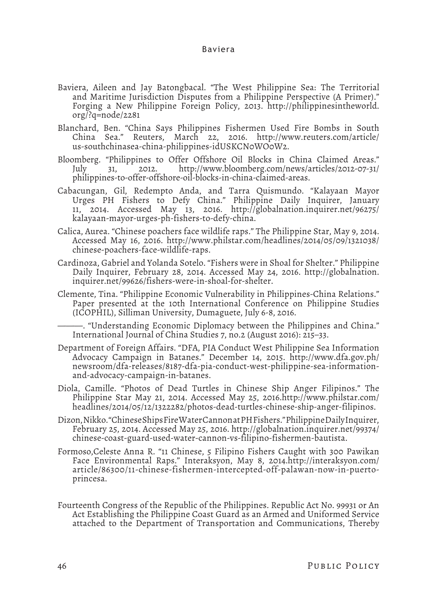- Baviera, Aileen and Jay Batongbacal. "The West Philippine Sea: The Territorial and Maritime Jurisdiction Disputes from a Philippine Perspective (A Primer)." Forging a New Philippine Foreign Policy, 2013. http://philippinesintheworld. org/?q=node/2281
- Blanchard, Ben. "China Says Philippines Fishermen Used Fire Bombs in South China Sea." Reuters, March 22, 2016. http://www.reuters.com/article/ us-southchinasea-china-philippines-idUSKCN0WO0W2.
- Bloomberg. "Philippines to Offer Offshore Oil Blocks in China Claimed Areas." July 31, 2012. http://www.bloomberg.com/news/articles/2012-07-31/ philippines-to-offer-offshore-oil-blocks-in-china-claimed-areas.
- Cabacungan, Gil, Redempto Anda, and Tarra Quismundo. "Kalayaan Mayor Urges PH Fishers to Defy China." Philippine Daily Inquirer, January 11, 2014. Accessed May 13, 2016. http://globalnation.inquirer.net/96275/ kalayaan-mayor-urges-ph-fishers-to-defy-china.
- Calica, Aurea. "Chinese poachers face wildlife raps." The Philippine Star, May 9, 2014. Accessed May 16, 2016. http://www.philstar.com/headlines/2014/05/09/1321038/ chinese-poachers-face-wildlife-raps.
- Cardinoza, Gabriel and Yolanda Sotelo. "Fishers were in Shoal for Shelter." Philippine Daily Inquirer, February 28, 2014. Accessed May 24, 2016. http://globalnation. inquirer.net/99626/fishers-were-in-shoal-for-shelter.
- Clemente, Tina. "Philippine Economic Vulnerability in Philippines-China Relations." Paper presented at the 10th International Conference on Philippine Studies (ICOPHIL), Silliman University, Dumaguete, July 6-8, 2016.

———. "Understanding Economic Diplomacy between the Philippines and China." International Journal of China Studies 7, no.2 (August 2016): 215–33.

- Department of Foreign Affairs. "DFA, PIA Conduct West Philippine Sea Information Advocacy Campaign in Batanes." December 14, 2015. http://www.dfa.gov.ph/ newsroom/dfa-releases/8187-dfa-pia-conduct-west-philippine-sea-informationand-advocacy-campaign-in-batanes.
- Diola, Camille. "Photos of Dead Turtles in Chinese Ship Anger Filipinos." The Philippine Star May 21, 2014. Accessed May 25, 2016.http://www.philstar.com/ headlines/2014/05/12/1322282/photos-dead-turtles-chinese-ship-anger-filipinos.
- Dizon, Nikko. "Chinese Ships Fire Water Cannon at PH Fishers." Philippine Daily Inquirer, February 25, 2014. Accessed May 25, 2016. http://globalnation.inquirer.net/99374/ chinese-coast-guard-used-water-cannon-vs-filipino-fishermen-bautista.
- Formoso,Celeste Anna R. "11 Chinese, 5 Filipino Fishers Caught with 300 Pawikan Face Environmental Raps." Interaksyon, May 8, 2014.http://interaksyon.com/ article/86300/11-chinese-fishermen-intercepted-off-palawan-now-in-puertoprincesa.
- Fourteenth Congress of the Republic of the Philippines. Republic Act No. 99931 or An Act Establishing the Philippine Coast Guard as an Armed and Uniformed Service attached to the Department of Transportation and Communications, Thereby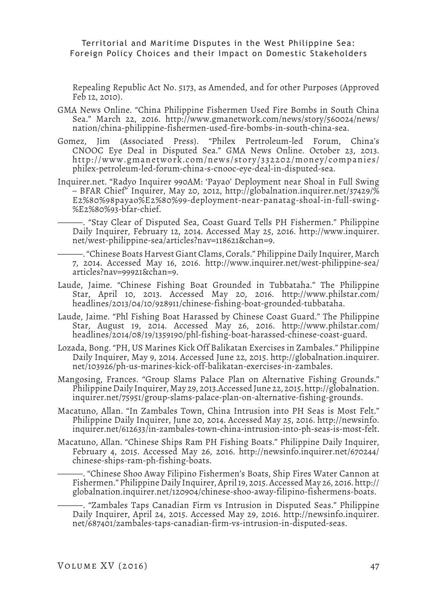Repealing Republic Act No. 5173, as Amended, and for other Purposes (Approved Feb 12, 2010).

- GMA News Online. "China Philippine Fishermen Used Fire Bombs in South China Sea." March 22, 2016. http://www.gmanetwork.com/news/story/560024/news/ nation/china-philippine-fishermen-used-fire-bombs-in-south-china-sea.
- Gomez, Jim (Associated Press). "Philex Pertroleum-led Forum, China's CNOOC Eye Deal in Disputed Sea." GMA News Online. October 23, 2013. http://www.gmanetwork.com/news/story/332202/money/companies/ philex-petroleum-led-forum-china-s-cnooc-eye-deal-in-disputed-sea.
- Inquirer.net. "Radyo Inquirer 990AM: 'Payao' Deployment near Shoal in Full Swing – BFAR Chief" Inquirer, May 20, 2012, http://globalnation.inquirer.net/37429/% E2%80%98payao%E2%80%99-deployment-near-panatag-shoal-in-full-swing- %E2%80%93-bfar-chief.

———. "Stay Clear of Disputed Sea, Coast Guard Tells PH Fishermen." Philippine Daily Inquirer, February 12, 2014. Accessed May 25, 2016. http://www.inquirer. net/west-philippine-sea/articles?nav=118621&chan=9.

———. "Chinese Boats Harvest Giant Clams, Corals." Philippine Daily Inquirer, March 7, 2014. Accessed May 16, 2016. http://www.inquirer.net/west-philippine-sea/ articles?nav=99921&chan=9.

- Laude, Jaime. "Chinese Fishing Boat Grounded in Tubbataha." The Philippine Star, April 10, 2013. Accessed May 20, 2016. http://www.philstar.com/ headlines/2013/04/10/928911/chinese-fishing-boat-grounded-tubbataha.
- Laude, Jaime. "Phl Fishing Boat Harassed by Chinese Coast Guard." The Philippine Star, August 19, 2014. Accessed May 26, 2016. http://www.philstar.com/ headlines/2014/08/19/1359190/phl-fishing-boat-harassed-chinese-coast-guard.
- Lozada, Bong. "PH, US Marines Kick Off Balikatan Exercises in Zambales." Philippine Daily Inquirer, May 9, 2014. Accessed June 22, 2015. http://globalnation.inquirer. net/103926/ph-us-marines-kick-off-balikatan-exercises-in-zambales.
- Mangosing, Frances. "Group Slams Palace Plan on Alternative Fishing Grounds." Philippine Daily Inquirer, May 29, 2013.Accessed June 22, 2015. http://globalnation. inquirer.net/75951/group-slams-palace-plan-on-alternative-fishing-grounds.
- Macatuno, Allan. "In Zambales Town, China Intrusion into PH Seas is Most Felt." Philippine Daily Inquirer, June 20, 2014. Accessed May 25, 2016. http://newsinfo. inquirer.net/612633/in-zambales-town-china-intrusion-into-ph-seas-is-most-felt.
- Macatuno, Allan. "Chinese Ships Ram PH Fishing Boats." Philippine Daily Inquirer, February 4, 2015. Accessed May 26, 2016. http://newsinfo.inquirer.net/670244/ chinese-ships-ram-ph-fishing-boats.

———. "Chinese Shoo Away Filipino Fishermen's Boats, Ship Fires Water Cannon at Fishermen." Philippine Daily Inquirer, April 19, 2015. Accessed May 26, 2016. http:// globalnation.inquirer.net/120904/chinese-shoo-away-filipino-fishermens-boats.

———. "Zambales Taps Canadian Firm vs Intrusion in Disputed Seas." Philippine Daily Inquirer, April 24, 2015. Accessed May 29, 2016. http://newsinfo.inquirer. net/687401/zambales-taps-canadian-firm-vs-intrusion-in-disputed-seas.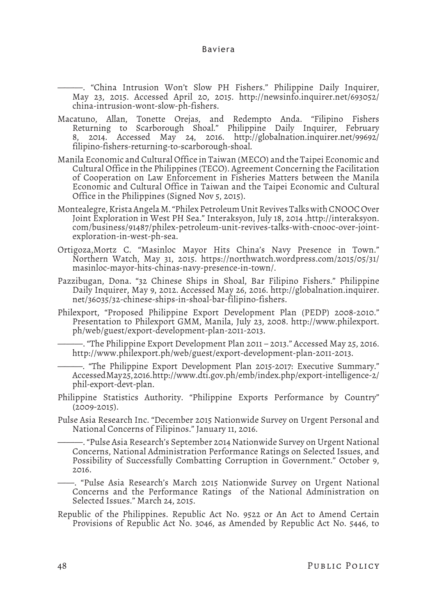———. "China Intrusion Won't Slow PH Fishers." Philippine Daily Inquirer, May 23, 2015. Accessed April 20, 2015. http://newsinfo.inquirer.net/693052/ china-intrusion-wont-slow-ph-fishers.

- Macatuno, Allan, Tonette Orejas, and Redempto Anda. "Filipino Fishers Returning to Scarborough Shoal." Philippine Daily Inquirer, February 8, 2014. Accessed May 24, 2016. http://globalnation.inquirer.net/99692/ filipino-fishers-returning-to-scarborough-shoal.
- Manila Economic and Cultural Office in Taiwan (MECO) and the Taipei Economic and Cultural Office in the Philippines (TECO). Agreement Concerning the Facilitation of Cooperation on Law Enforcement in Fisheries Matters between the Manila Economic and Cultural Office in Taiwan and the Taipei Economic and Cultural Office in the Philippines (Signed Nov 5, 2015).
- Montealegre, Krista Angela M. "Philex Petroleum Unit Revives Talks with CNOOC Over Joint Exploration in West PH Sea." Interaksyon, July 18, 2014 .http://interaksyon. com/business/91487/philex-petroleum-unit-revives-talks-with-cnooc-over-jointexploration-in-west-ph-sea.
- Ortigoza,Mortz C. "Masinloc Mayor Hits China's Navy Presence in Town." Northern Watch, May 31, 2015. https://northwatch.wordpress.com/2015/05/31/ masinloc-mayor-hits-chinas-navy-presence-in-town/.
- Pazzibugan, Dona. "32 Chinese Ships in Shoal, Bar Filipino Fishers." Philippine Daily Inquirer, May 9, 2012. Accessed May 26, 2016. http://globalnation.inquirer. net/36035/32-chinese-ships-in-shoal-bar-filipino-fishers.
- Philexport, "Proposed Philippine Export Development Plan (PEDP) 2008-2010." Presentation to Philexport GMM, Manila, July 23, 2008. http://www.philexport. ph/web/guest/export-development-plan-2011-2013.

———. "The Philippine Export Development Plan 2011 – 2013." Accessed May 25, 2016. http://www.philexport.ph/web/guest/export-development-plan-2011-2013.

———. "The Philippine Export Development Plan 2015-2017: Executive Summary." Accessed May 25, 2016. http://www.dti.gov.ph/emb/index.php/export-intelligence-2/ phil-export-devt-plan.

- Philippine Statistics Authority. "Philippine Exports Performance by Country" (2009-2015).
- Pulse Asia Research Inc. "December 2015 Nationwide Survey on Urgent Personal and National Concerns of Filipinos." January 11, 2016.

———. "Pulse Asia Research's September 2014 Nationwide Survey on Urgent National Concerns, National Administration Performance Ratings on Selected Issues, and Possibility of Successfully Combatting Corruption in Government." October 9, 2016.

——. "Pulse Asia Research's March 2015 Nationwide Survey on Urgent National Concerns and the Performance Ratings of the National Administration on Selected Issues." March 24, 2015.

Republic of the Philippines. Republic Act No. 9522 or An Act to Amend Certain Provisions of Republic Act No. 3046, as Amended by Republic Act No. 5446, to